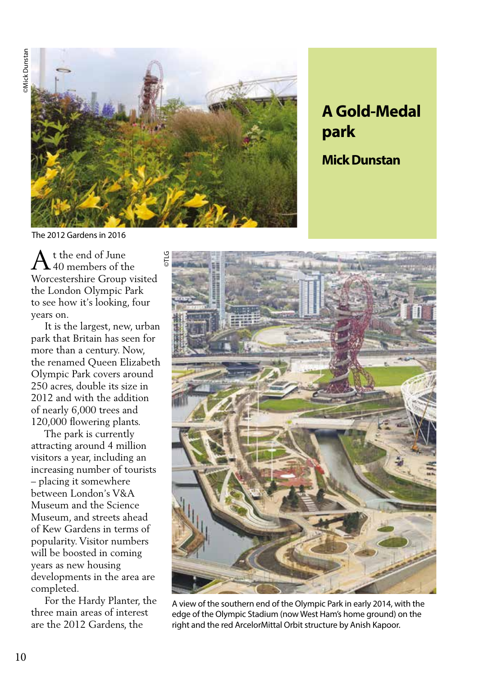

©TLG

## **A Gold-Medal park**

**Mick Dunstan**

The 2012 Gardens in 2016

t the end of June 40 members of the Worcestershire Group visited the London Olympic Park to see how it's looking, four years on. A

 It is the largest, new, urban park that Britain has seen for more than a century. Now, the renamed Queen Elizabeth Olympic Park covers around 250 acres, double its size in 2012 and with the addition of nearly 6,000 trees and 120,000 flowering plants.

 The park is currently attracting around 4 million visitors a year, including an increasing number of tourists – placing it somewhere between London's V&A Museum and the Science Museum, and streets ahead of Kew Gardens in terms of popularity. Visitor numbers will be boosted in coming years as new housing developments in the area are completed.

 For the Hardy Planter, the three main areas of interest are the 2012 Gardens, the



A view of the southern end of the Olympic Park in early 2014, with the edge of the Olympic Stadium (now West Ham's home ground) on the right and the red ArcelorMittal Orbit structure by Anish Kapoor.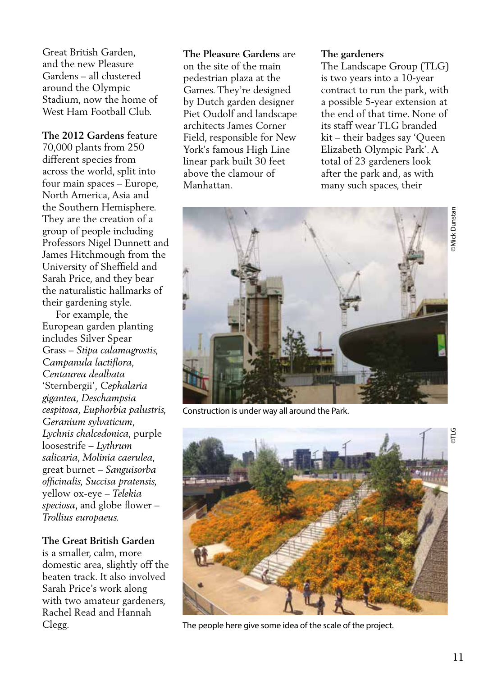Great British Garden, and the new Pleasure Gardens – all clustered around the Olympic Stadium, now the home of West Ham Football Club.

**The 2012 Gardens** feature 70,000 plants from 250 different species from across the world, split into four main spaces – Europe, North America, Asia and the Southern Hemisphere. They are the creation of a group of people including Professors Nigel Dunnett and James Hitchmough from the University of Sheffield and Sarah Price, and they bear the naturalistic hallmarks of their gardening style.

 For example, the European garden planting includes Silver Spear Grass – *Stipa calamagrostis, Campanula lactiflora, Centaurea dealbata*  'Sternbergii'*, Cephalaria gigantea, Deschampsia cespitosa, Euphorbia palustris, Geranium sylvaticum, Lychnis chalcedonica*, purple loosestrife – *Lythrum salicaria*, *Molinia caerulea,*  great burnet – *Sanguisorba officinalis, Succisa pratensis,*  yellow ox-eye – *Telekia speciosa*, and globe flower – *Trollius europaeus.*

## **The Great British Garden**

is a smaller, calm, more domestic area, slightly off the beaten track. It also involved Sarah Price's work along with two amateur gardeners, Rachel Read and Hannah Clegg.

**The Pleasure Gardens** are on the site of the main pedestrian plaza at the Games. They're designed by Dutch garden designer Piet Oudolf and landscape architects James Corner Field, responsible for New York's famous High Line linear park built 30 feet above the clamour of Manhattan.

## **The gardeners**

The Landscape Group (TLG) is two years into a 10-year contract to run the park, with a possible 5-year extension at the end of that time. None of its staff wear TLG branded kit – their badges say 'Queen Elizabeth Olympic Park'. A total of 23 gardeners look after the park and, as with many such spaces, their



Construction is under way all around the Park.



The people here give some idea of the scale of the project.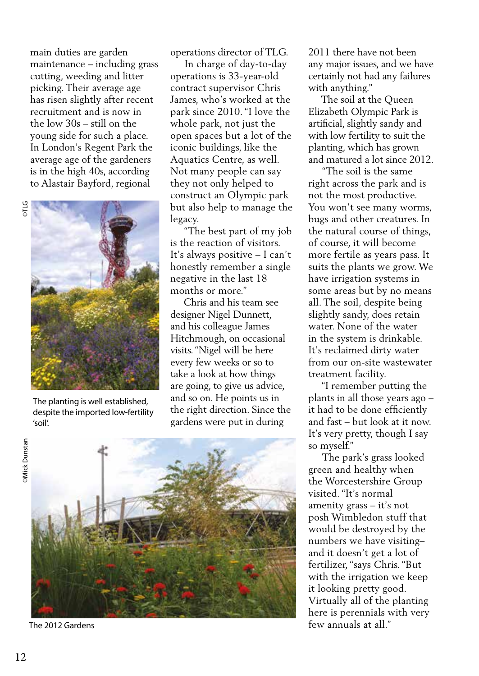main duties are garden maintenance – including grass cutting, weeding and litter picking. Their average age has risen slightly after recent recruitment and is now in the low 30s – still on the young side for such a place. In London's Regent Park the average age of the gardeners is in the high 40s, according to Alastair Bayford, regional



The planting is well established, despite the imported low-fertility 'soil'.

operations director of TLG.

 In charge of day-to-day operations is 33-year-old contract supervisor Chris James, who's worked at the park since 2010. "I love the whole park, not just the open spaces but a lot of the iconic buildings, like the Aquatics Centre, as well. Not many people can say they not only helped to construct an Olympic park but also help to manage the legacy.

 "The best part of my job is the reaction of visitors. It's always positive – I can't honestly remember a single negative in the last 18 months or more."

 Chris and his team see designer Nigel Dunnett, and his colleague James Hitchmough, on occasional visits. "Nigel will be here every few weeks or so to take a look at how things are going, to give us advice, and so on. He points us in the right direction. Since the gardens were put in during



The 2012 Gardens

2011 there have not been any major issues, and we have certainly not had any failures with anything."

 The soil at the Queen Elizabeth Olympic Park is artificial, slightly sandy and with low fertility to suit the planting, which has grown and matured a lot since 2012.

 "The soil is the same right across the park and is not the most productive. You won't see many worms, bugs and other creatures. In the natural course of things, of course, it will become more fertile as years pass. It suits the plants we grow. We have irrigation systems in some areas but by no means all. The soil, despite being slightly sandy, does retain water. None of the water in the system is drinkable. It's reclaimed dirty water from our on-site wastewater treatment facility.

 "I remember putting the plants in all those years ago – it had to be done efficiently and fast – but look at it now. It's very pretty, though I say so myself."

 The park's grass looked green and healthy when the Worcestershire Group visited. "It's normal amenity grass – it's not posh Wimbledon stuff that would be destroyed by the numbers we have visiting– and it doesn't get a lot of fertilizer, "says Chris. "But with the irrigation we keep it looking pretty good. Virtually all of the planting here is perennials with very few annuals at all."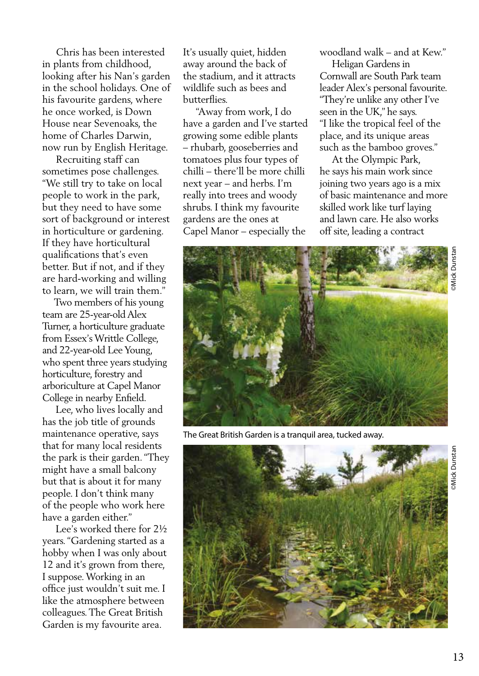Chris has been interested in plants from childhood, looking after his Nan's garden in the school holidays. One of his favourite gardens, where he once worked, is Down House near Sevenoaks, the home of Charles Darwin, now run by English Heritage.

 Recruiting staff can sometimes pose challenges. "We still try to take on local people to work in the park, but they need to have some sort of background or interest in horticulture or gardening. If they have horticultural qualifications that's even better. But if not, and if they are hard-working and willing to learn, we will train them."

 Two members of his young team are 25-year-old Alex Turner, a horticulture graduate from Essex's Writtle College, and 22-year-old Lee Young, who spent three years studying horticulture, forestry and arboriculture at Capel Manor College in nearby Enfield.

 Lee, who lives locally and has the job title of grounds maintenance operative, says that for many local residents the park is their garden. "They might have a small balcony but that is about it for many people. I don't think many of the people who work here have a garden either."

 Lee's worked there for 2½ years. "Gardening started as a hobby when I was only about 12 and it's grown from there, I suppose. Working in an office just wouldn't suit me. I like the atmosphere between colleagues. The Great British Garden is my favourite area.

It's usually quiet, hidden away around the back of the stadium, and it attracts wildlife such as bees and butterflies.

 "Away from work, I do have a garden and I've started growing some edible plants – rhubarb, gooseberries and tomatoes plus four types of chilli – there'll be more chilli next year – and herbs. I'm really into trees and woody shrubs. I think my favourite gardens are the ones at Capel Manor – especially the

woodland walk – and at Kew."

 Heligan Gardens in Cornwall are South Park team leader Alex's personal favourite. "They're unlike any other I've seen in the UK," he says. "I like the tropical feel of the place, and its unique areas such as the bamboo groves."

 At the Olympic Park, he says his main work since joining two years ago is a mix of basic maintenance and more skilled work like turf laying and lawn care. He also works off site, leading a contract



The Great British Garden is a tranquil area, tucked away.



**Mick Dunsta**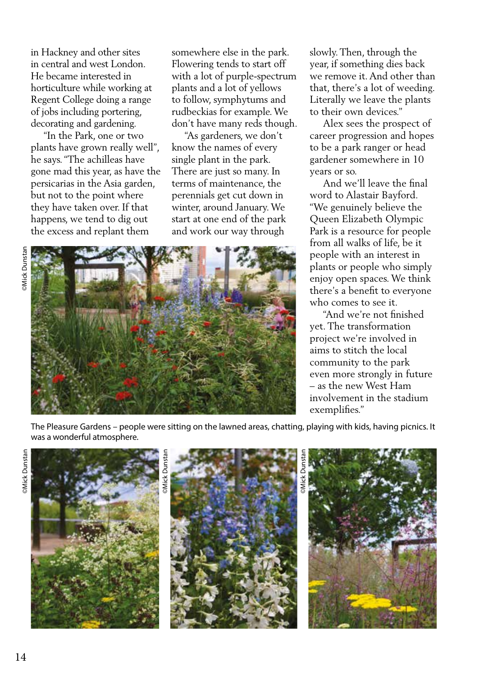in Hackney and other sites in central and west London. He became interested in horticulture while working at Regent College doing a range of jobs including portering, decorating and gardening.

 "In the Park, one or two plants have grown really well", he says. "The achilleas have gone mad this year, as have the persicarias in the Asia garden, but not to the point where they have taken over. If that happens, we tend to dig out the excess and replant them

somewhere else in the park. Flowering tends to start off with a lot of purple-spectrum plants and a lot of yellows to follow, symphytums and rudbeckias for example. We don't have many reds though.

 "As gardeners, we don't know the names of every single plant in the park. There are just so many. In terms of maintenance, the perennials get cut down in winter, around January. We start at one end of the park and work our way through





slowly. Then, through the year, if something dies back we remove it. And other than that, there's a lot of weeding. Literally we leave the plants to their own devices."

 Alex sees the prospect of career progression and hopes to be a park ranger or head gardener somewhere in 10 years or so.

 And we'll leave the final word to Alastair Bayford. "We genuinely believe the Queen Elizabeth Olympic Park is a resource for people from all walks of life, be it people with an interest in plants or people who simply enjoy open spaces. We think there's a benefit to everyone who comes to see it.

 "And we're not finished yet. The transformation project we're involved in aims to stitch the local community to the park even more strongly in future – as the new West Ham involvement in the stadium exemplifies."

The Pleasure Gardens – people were sitting on the lawned areas, chatting, playing with kids, having picnics. It was a wonderful atmosphere.